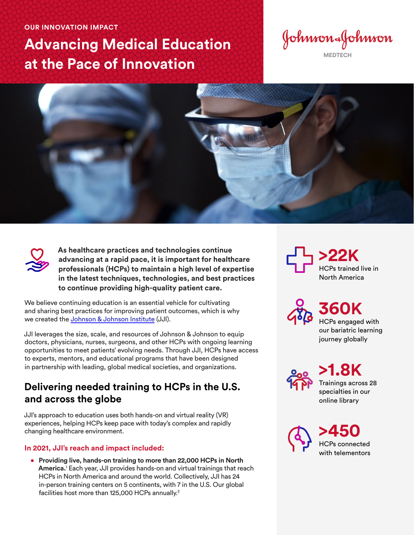#### **OUR INNOVATION IMPACT**

# **Advancing Medical Education at the Pace of Innovation**

Johnson&Johnson

**MEDTECH**





**As healthcare practices and technologies continue advancing at a rapid pace, it is important for healthcare professionals (HCPs) to maintain a high level of expertise in the latest techniques, technologies, and best practices to continue providing high-quality patient care.** 

We believe continuing education is an essential vehicle for cultivating and sharing best practices for improving patient outcomes, which is why we created the [Johnson & Johnson Institute](https://jnjinstitute.com/en-us) (JJI).

JJI leverages the size, scale, and resources of Johnson & Johnson to equip doctors, physicians, nurses, surgeons, and other HCPs with ongoing learning opportunities to meet patients' evolving needs. Through JJI, HCPs have access to experts, mentors, and educational programs that have been designed in partnership with leading, global medical societies, and organizations.

## **Delivering needed training to HCPs in the U.S. and across the globe**

JJI's approach to education uses both hands-on and virtual reality (VR) experiences, helping HCPs keep pace with today's complex and rapidly changing healthcare environment.

### **In 2021, JJI's reach and impact included:**

• **Providing live, hands-on training to more than 22,000 HCPs in North America.**<sup>1</sup> Each year, JJI provides hands-on and virtual trainings that reach HCPs in North America and around the world. Collectively, JJI has 24 in-person training centers on 5 continents, with 7 in the U.S. Our global facilities host more than 125,000 HCPs annually.<sup>2</sup>

**>22K** HCPs trained live in North America

> **360K** HCPs engaged with our bariatric learning journey globally

**>1.8K** Trainings across 28 specialties in our online library

**>450**  HCPs connected with telementors